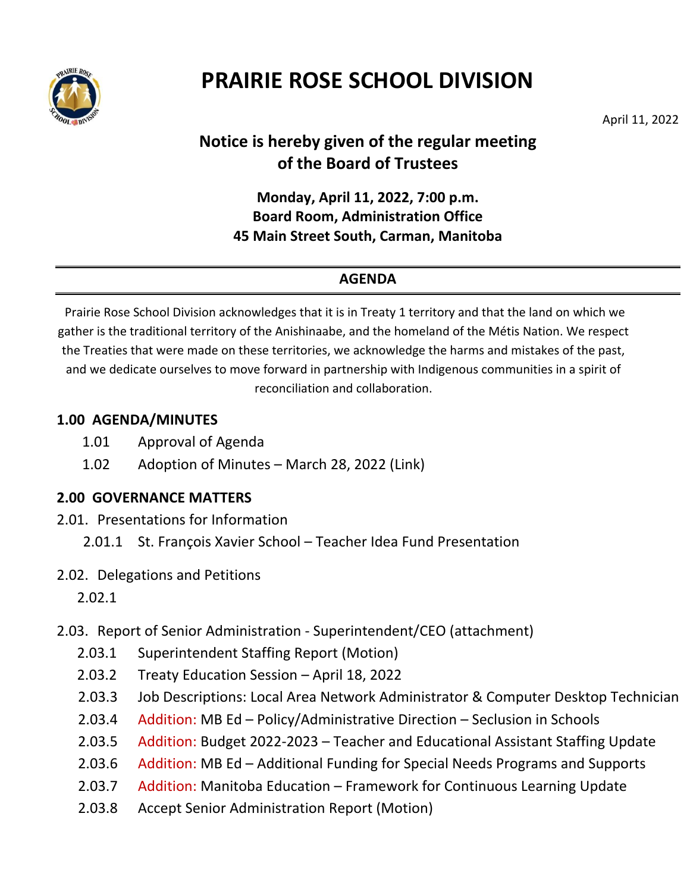

# **PRAIRIE ROSE SCHOOL DIVISION**

April 11, 2022

## **Notice is hereby given of the regular meeting of the Board of Trustees**

**Monday, April 11, 2022, 7:00 p.m. Board Room, Administration Office 45 Main Street South, Carman, Manitoba**

#### **AGENDA**

Prairie Rose School Division acknowledges that it is in Treaty 1 territory and that the land on which we gather is the traditional territory of the Anishinaabe, and the homeland of the Métis Nation. We respect the Treaties that were made on these territories, we acknowledge the harms and mistakes of the past, and we dedicate ourselves to move forward in partnership with Indigenous communities in a spirit of reconciliation and collaboration.

#### **1.00 AGENDA/MINUTES**

- 1.01 Approval of Agenda
- 1.02 Adoption of Minutes March 28, 2022 (Link)

#### **2.00 GOVERNANCE MATTERS**

- 2.01. Presentations for Information
	- 2.01.1 St. François Xavier School Teacher Idea Fund Presentation
- 2.02. Delegations and Petitions

2.02.1

- 2.03. Report of Senior Administration Superintendent/CEO (attachment)
	- 2.03.1 Superintendent Staffing Report (Motion)
	- 2.03.2 Treaty Education Session April 18, 2022
	- 2.03.3 Job Descriptions: Local Area Network Administrator & Computer Desktop Technician
	- 2.03.4 Addition: MB Ed Policy/Administrative Direction Seclusion in Schools
	- 2.03.5 Addition: Budget 2022-2023 Teacher and Educational Assistant Staffing Update
	- 2.03.6 Addition: MB Ed Additional Funding for Special Needs Programs and Supports
	- 2.03.7 Addition: Manitoba Education Framework for Continuous Learning Update
	- 2.03.8 Accept Senior Administration Report (Motion)